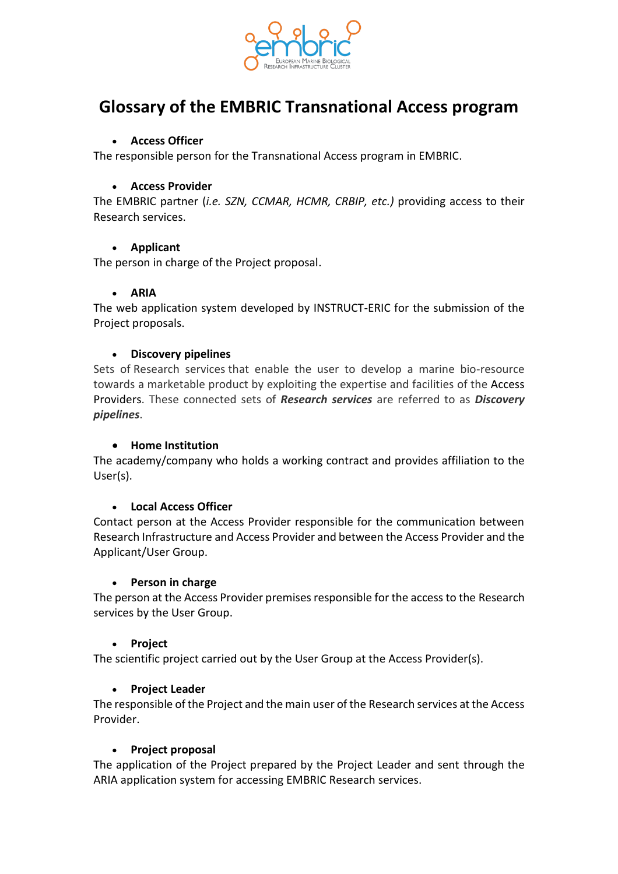

# **Glossary of the EMBRIC Transnational Access program**

## • **Access Officer**

The responsible person for the Transnational Access program in EMBRIC.

## • **Access Provider**

The EMBRIC partner (*i.e. SZN, CCMAR, HCMR, CRBIP, etc.)* providing access to their Research services.

## • **Applicant**

The person in charge of the Project proposal.

## • **ARIA**

The web application system developed by INSTRUCT-ERIC for the submission of the Project proposals.

## • **Discovery pipelines**

Sets of Research services that enable the user to develop a marine bio-resource towards a marketable product by exploiting the expertise and facilities of the Access Providers. These connected sets of *Research services* are referred to as *Discovery pipelines*.

#### • **Home Institution**

The academy/company who holds a working contract and provides affiliation to the User(s).

#### • **Local Access Officer**

Contact person at the Access Provider responsible for the communication between Research Infrastructure and Access Provider and between the Access Provider and the Applicant/User Group.

#### • **Person in charge**

The person at the Access Provider premises responsible for the access to the Research services by the User Group.

#### • **Project**

The scientific project carried out by the User Group at the Access Provider(s).

## • **Project Leader**

The responsible of the Project and the main user of the Research services at the Access Provider.

#### • **Project proposal**

The application of the Project prepared by the Project Leader and sent through the ARIA application system for accessing EMBRIC Research services.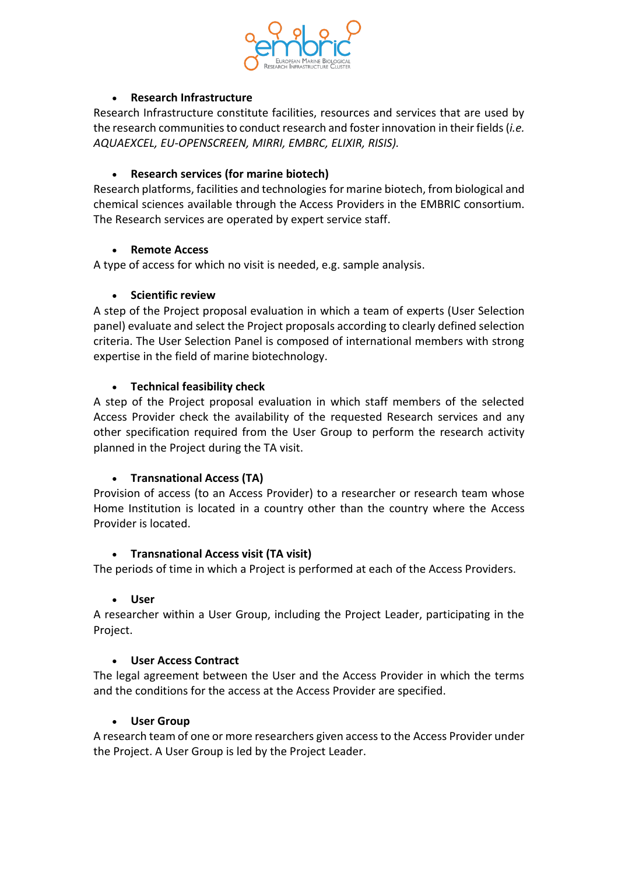

## • **Research Infrastructure**

Research Infrastructure constitute facilities, resources and services that are used by the research communities to conduct research and foster innovation in their fields (*i.e. AQUAEXCEL, EU-OPENSCREEN, MIRRI, EMBRC, ELIXIR, RISIS).*

## • **Research services (for marine biotech)**

Research platforms, facilities and technologies for marine biotech, from biological and chemical sciences available through the Access Providers in the EMBRIC consortium. The Research services are operated by expert service staff.

## • **Remote Access**

A type of access for which no visit is needed, e.g. sample analysis.

## • **Scientific review**

A step of the Project proposal evaluation in which a team of experts (User Selection panel) evaluate and select the Project proposals according to clearly defined selection criteria. The User Selection Panel is composed of international members with strong expertise in the field of marine biotechnology.

## • **Technical feasibility check**

A step of the Project proposal evaluation in which staff members of the selected Access Provider check the availability of the requested Research services and any other specification required from the User Group to perform the research activity planned in the Project during the TA visit.

## • **Transnational Access (TA)**

Provision of access (to an Access Provider) to a researcher or research team whose Home Institution is located in a country other than the country where the Access Provider is located.

#### • **Transnational Access visit (TA visit)**

The periods of time in which a Project is performed at each of the Access Providers.

#### • **User**

A researcher within a User Group, including the Project Leader, participating in the Project.

#### • **User Access Contract**

The legal agreement between the User and the Access Provider in which the terms and the conditions for the access at the Access Provider are specified.

#### • **User Group**

A research team of one or more researchers given access to the Access Provider under the Project. A User Group is led by the Project Leader.